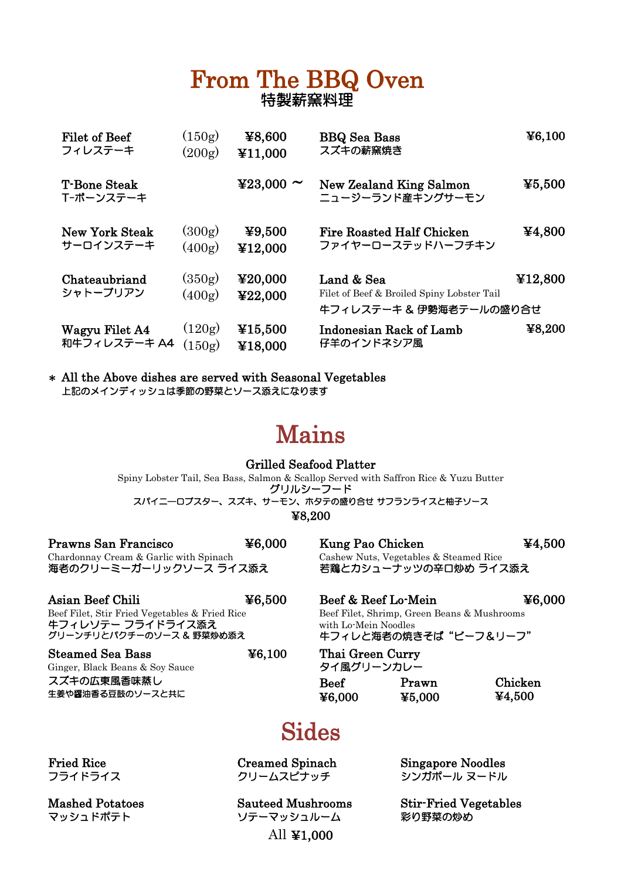#### From The BBQ Oven 特製薪窯料理

| Filet of Beef                    | (150g)           | ¥8,600             | <b>BBQ</b> Sea Bass                                                                 | $\textcolor{blue}{\bf\pm 6,100}$                                     |
|----------------------------------|------------------|--------------------|-------------------------------------------------------------------------------------|----------------------------------------------------------------------|
| フィレステーキ                          | (200g)           | ¥11,000            | スズキの薪窯焼き                                                                            |                                                                      |
| <b>T-Bone Steak</b><br>T-ボーンステーキ |                  | ¥23,000 $\sim$     | New Zealand King Salmon<br>ニュージーランド産キングサーモン                                         | $\textcolor{blue}{\boldsymbol{\mathfrak{Y}5},500}$                   |
| <b>New York Steak</b>            | (300g)           | ¥9,500             | <b>Fire Roasted Half Chicken</b>                                                    | ¥4,800                                                               |
| サーロインステーキ                        | (400g)           | ¥12.000            | ファイヤーローステッドハーフチキン                                                                   |                                                                      |
| Chateaubriand<br>シャトーブリアン        | (350g)<br>(400g) | ¥20,000<br>¥22,000 | Land & Sea<br>Filet of Beef & Broiled Spiny Lobster Tail<br>牛フィレステーキ & 伊勢海老テールの盛り合せ | ¥12,800                                                              |
| Wagyu Filet A4                   | (120g)           | ¥15,500            | Indonesian Rack of Lamb                                                             | $\textcolor{blue}{\boldsymbol{\mathfrak{X}}}\textcolor{blue}{8,200}$ |
| 和牛フィレステーキ A4                     | (150g)           | ¥18,000            | 仔羊のインドネシア風                                                                          |                                                                      |

\* All the Above dishes are served with Seasonal Vegetables 上記のメインディッシュは季節の野菜とソース添えになります

# Mains

グリルシーフード スパイニ―ロブスター、スズキ、サーモン、ホタテの盛り合せ サフランライスと柚子ソース Grilled Seafood Platter Spiny Lobster Tail, Sea Bass, Salmon & Scallop Served with Saffron Rice & Yuzu Butter ¥8,200

| Prawns San Francisco                   | $\textcolor{blue}{\boldsymbol{\mathfrak{F}8.000}}$ |
|----------------------------------------|----------------------------------------------------|
| Chardonnay Cream & Garlic with Spinach |                                                    |
| 海老のクリーミーガーリックソース ライス添え                 |                                                    |

| Asian Beef Chili                                                                                | $\textcolor{blue}{\boldsymbol{\mathfrak{X}6.500}}$ |
|-------------------------------------------------------------------------------------------------|----------------------------------------------------|
| Beef Filet, Stir Fried Vegetables & Fried Rice<br>牛フィレソテー フライドライス添え<br>グリーンチリとパクチーのソース & 野菜炒め添え |                                                    |

| <b>Steamed Sea Bass</b>         | $\textcolor{blue}{\boldsymbol{\mathfrak{X}6.100}}$ | Thai Green Curry |               |               |
|---------------------------------|----------------------------------------------------|------------------|---------------|---------------|
| Ginger, Black Beans & Soy Sauce |                                                    | タイ風グリーンカレー       |               |               |
| スズキの広東風香味蒸し                     |                                                    | <b>Beef</b>      | Prawn         | Chicken       |
| 生姜や醤油香る豆鼓のソースと共に                |                                                    | <b>XA UUU</b>    | <b>XK UUU</b> | <b>X4 500</b> |

Kung Pao Chicken Cashew Nuts, Vegetables & Steamed Rice 若鶏とカシューナッツの辛口炒め ライス添え ¥4,500

 $\begin{array}{ll} \texttt{Desf} \& \texttt{Reef} \ \texttt{Lo-Mein} \end{array}$ Beef Filet, Shrimp, Green Beans & Mushrooms with Lo-Mein Noodles ¥6,000 牛フィレと海老の焼きそば "ビーフ&リーフ"

) Thai Green Curry タイ風グリーンカレー ¥6,000

¥5,000 ¥4,500

# Sides

Fried Rice Creamed Spinach Singapore Noodles

マッシュルーム マッシュルーム 彩り野菜の炒め All ¥1,000

フライドライス フェー クリームスピナッチ シンガポール ヌードル

Mashed Potatoes Sauteed Mushrooms Stir-Fried Vegetables